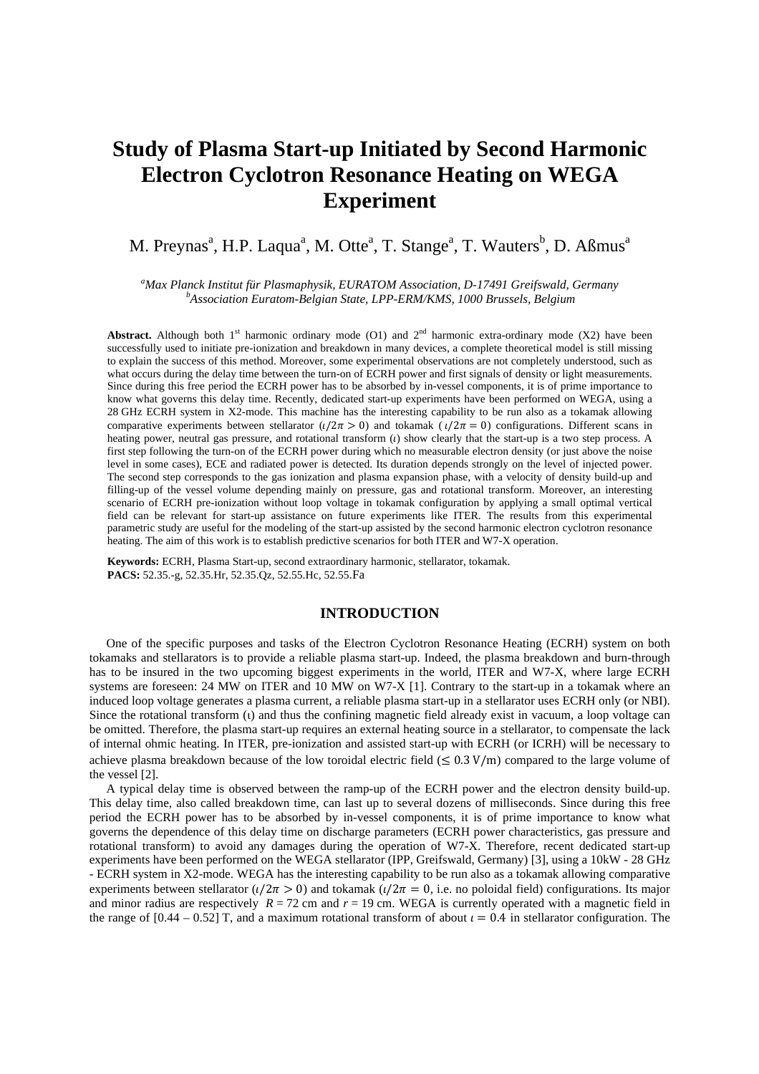# **Study of Plasma Start-up Initiated by Second Harmonic Electron Cyclotron Resonance Heating on WEGA Experiment**

# M. Preynas<sup>a</sup>, H.P. Laqua<sup>a</sup>, M. Otte<sup>a</sup>, T. Stange<sup>a</sup>, T. Wauters<sup>b</sup>, D. Aßmus<sup>a</sup>

*<sup>a</sup>Max Planck Institut für Plasmaphysik, EURATOM Association, D-17491 Greifswald, Germany <sup>b</sup>Association Euratom-Belgian State, LPP-ERM/KMS, 1000 Brussels, Belgium* 

**Abstract.** Although both 1<sup>st</sup> harmonic ordinary mode (O1) and  $2<sup>nd</sup>$  harmonic extra-ordinary mode (X2) have been successfully used to initiate pre-ionization and breakdown in many devices, a complete theoretical model is still missing to explain the success of this method. Moreover, some experimental observations are not completely understood, such as what occurs during the delay time between the turn-on of ECRH power and first signals of density or light measurements. Since during this free period the ECRH power has to be absorbed by in-vessel components, it is of prime importance to know what governs this delay time. Recently, dedicated start-up experiments have been performed on WEGA, using a 28 GHz ECRH system in X2-mode. This machine has the interesting capability to be run also as a tokamak allowing comparative experiments between stellarator ( $\iota/2\pi > 0$ ) and tokamak ( $\iota/2\pi = 0$ ) configurations. Different scans in heating power, neutral gas pressure, and rotational transform  $(t)$  show clearly that the start-up is a two step process. A first step following the turn-on of the ECRH power during which no measurable electron density (or just above the noise level in some cases), ECE and radiated power is detected. Its duration depends strongly on the level of injected power. The second step corresponds to the gas ionization and plasma expansion phase, with a velocity of density build-up and filling-up of the vessel volume depending mainly on pressure, gas and rotational transform. Moreover, an interesting scenario of ECRH pre-ionization without loop voltage in tokamak configuration by applying a small optimal vertical field can be relevant for start-up assistance on future experiments like ITER. The results from this experimental parametric study are useful for the modeling of the start-up assisted by the second harmonic electron cyclotron resonance heating. The aim of this work is to establish predictive scenarios for both ITER and W7-X operation.

**Keywords:** ECRH, Plasma Start-up, second extraordinary harmonic, stellarator, tokamak. **PACS:** 52.35.-g, 52.35.Hr, 52.35.Qz, 52.55.Hc, 52.55.Fa

# **INTRODUCTION**

One of the specific purposes and tasks of the Electron Cyclotron Resonance Heating (ECRH) system on both tokamaks and stellarators is to provide a reliable plasma start-up. Indeed, the plasma breakdown and burn-through has to be insured in the two upcoming biggest experiments in the world, ITER and W7-X, where large ECRH systems are foreseen: 24 MW on ITER and 10 MW on W7-X [1]. Contrary to the start-up in a tokamak where an induced loop voltage generates a plasma current, a reliable plasma start-up in a stellarator uses ECRH only (or NBI). Since the rotational transform (ι) and thus the confining magnetic field already exist in vacuum, a loop voltage can be omitted. Therefore, the plasma start-up requires an external heating source in a stellarator, to compensate the lack of internal ohmic heating. In ITER, pre-ionization and assisted start-up with ECRH (or ICRH) will be necessary to achieve plasma breakdown because of the low toroidal electric field  $(\leq 0.3 \text{ V/m})$  compared to the large volume of the vessel [2].

A typical delay time is observed between the ramp-up of the ECRH power and the electron density build-up. This delay time, also called breakdown time, can last up to several dozens of milliseconds. Since during this free period the ECRH power has to be absorbed by in-vessel components, it is of prime importance to know what governs the dependence of this delay time on discharge parameters (ECRH power characteristics, gas pressure and rotational transform) to avoid any damages during the operation of W7-X. Therefore, recent dedicated start-up experiments have been performed on the WEGA stellarator (IPP, Greifswald, Germany) [3], using a 10kW - 28 GHz - ECRH system in X2-mode. WEGA has the interesting capability to be run also as a tokamak allowing comparative experiments between stellarator ( $\iota/2\pi > 0$ ) and tokamak ( $\iota/2\pi = 0$ , i.e. no poloidal field) configurations. Its major and minor radius are respectively  $R = 72$  cm and  $r = 19$  cm. WEGA is currently operated with a magnetic field in the range of  $[0.44 - 0.52]$  T, and a maximum rotational transform of about  $\iota = 0.4$  in stellarator configuration. The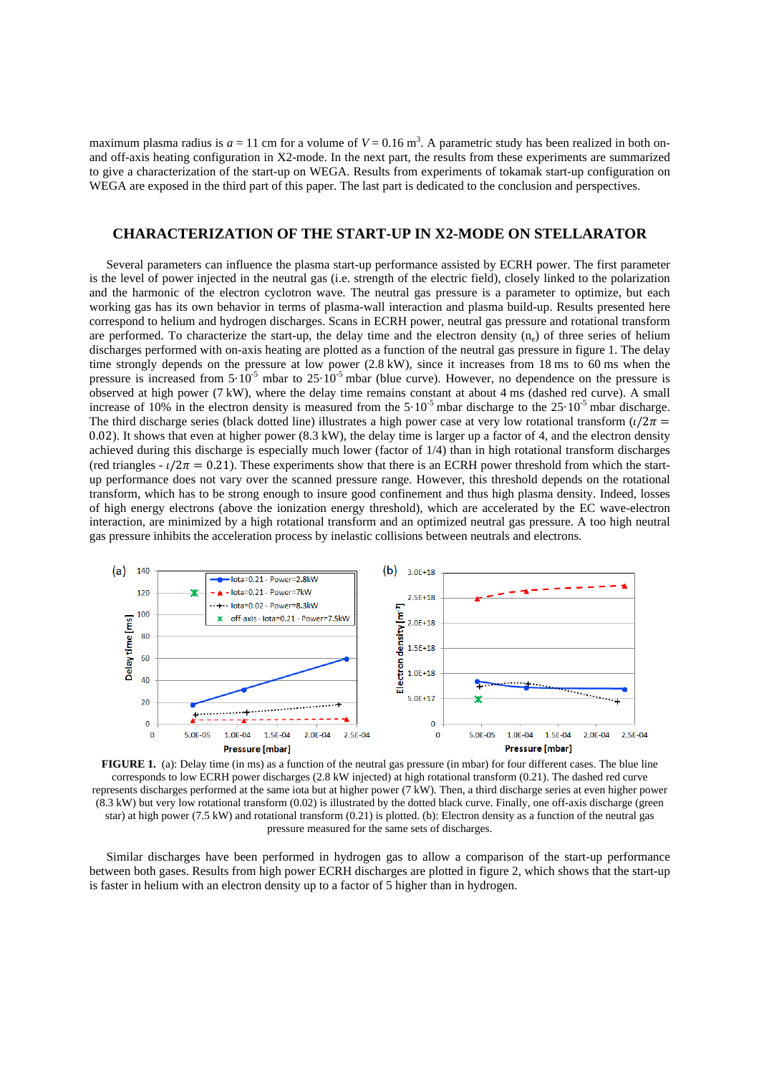maximum plasma radius is  $a = 11$  cm for a volume of  $V = 0.16$  m<sup>3</sup>. A parametric study has been realized in both onand off-axis heating configuration in X2-mode. In the next part, the results from these experiments are summarized to give a characterization of the start-up on WEGA. Results from experiments of tokamak start-up configuration on WEGA are exposed in the third part of this paper. The last part is dedicated to the conclusion and perspectives.

## **CHARACTERIZATION OF THE START-UP IN X2-MODE ON STELLARATOR**

Several parameters can influence the plasma start-up performance assisted by ECRH power. The first parameter is the level of power injected in the neutral gas (i.e. strength of the electric field), closely linked to the polarization and the harmonic of the electron cyclotron wave. The neutral gas pressure is a parameter to optimize, but each working gas has its own behavior in terms of plasma-wall interaction and plasma build-up. Results presented here correspond to helium and hydrogen discharges. Scans in ECRH power, neutral gas pressure and rotational transform are performed. To characterize the start-up, the delay time and the electron density  $(n_e)$  of three series of helium discharges performed with on-axis heating are plotted as a function of the neutral gas pressure in figure 1. The delay time strongly depends on the pressure at low power (2.8 kW), since it increases from 18 ms to 60 ms when the pressure is increased from  $5.10^{-5}$  mbar to  $25.10^{-5}$  mbar (blue curve). However, no dependence on the pressure is observed at high power (7 kW), where the delay time remains constant at about 4 ms (dashed red curve). A small increase of 10% in the electron density is measured from the  $5·10<sup>-5</sup>$  mbar discharge to the  $25·10<sup>-5</sup>$  mbar discharge. The third discharge series (black dotted line) illustrates a high power case at very low rotational transform  $(\iota/2\pi =$ 0.02). It shows that even at higher power  $(8.3 \text{ kW})$ , the delay time is larger up a factor of 4, and the electron density achieved during this discharge is especially much lower (factor of 1/4) than in high rotational transform discharges (red triangles -  $\ell/2\pi = 0.21$ ). These experiments show that there is an ECRH power threshold from which the startup performance does not vary over the scanned pressure range. However, this threshold depends on the rotational transform, which has to be strong enough to insure good confinement and thus high plasma density. Indeed, losses of high energy electrons (above the ionization energy threshold), which are accelerated by the EC wave-electron interaction, are minimized by a high rotational transform and an optimized neutral gas pressure. A too high neutral gas pressure inhibits the acceleration process by inelastic collisions between neutrals and electrons.



**FIGURE 1.** (a): Delay time (in ms) as a function of the neutral gas pressure (in mbar) for four different cases. The blue line corresponds to low ECRH power discharges (2.8 kW injected) at high rotational transform (0.21). The dashed red curve represents discharges performed at the same iota but at higher power (7 kW). Then, a third discharge series at even higher power (8.3 kW) but very low rotational transform (0.02) is illustrated by the dotted black curve. Finally, one off-axis discharge (green star) at high power (7.5 kW) and rotational transform (0.21) is plotted. (b): Electron density as a function of the neutral gas pressure measured for the same sets of discharges.

Similar discharges have been performed in hydrogen gas to allow a comparison of the start-up performance between both gases. Results from high power ECRH discharges are plotted in figure 2, which shows that the start-up is faster in helium with an electron density up to a factor of 5 higher than in hydrogen.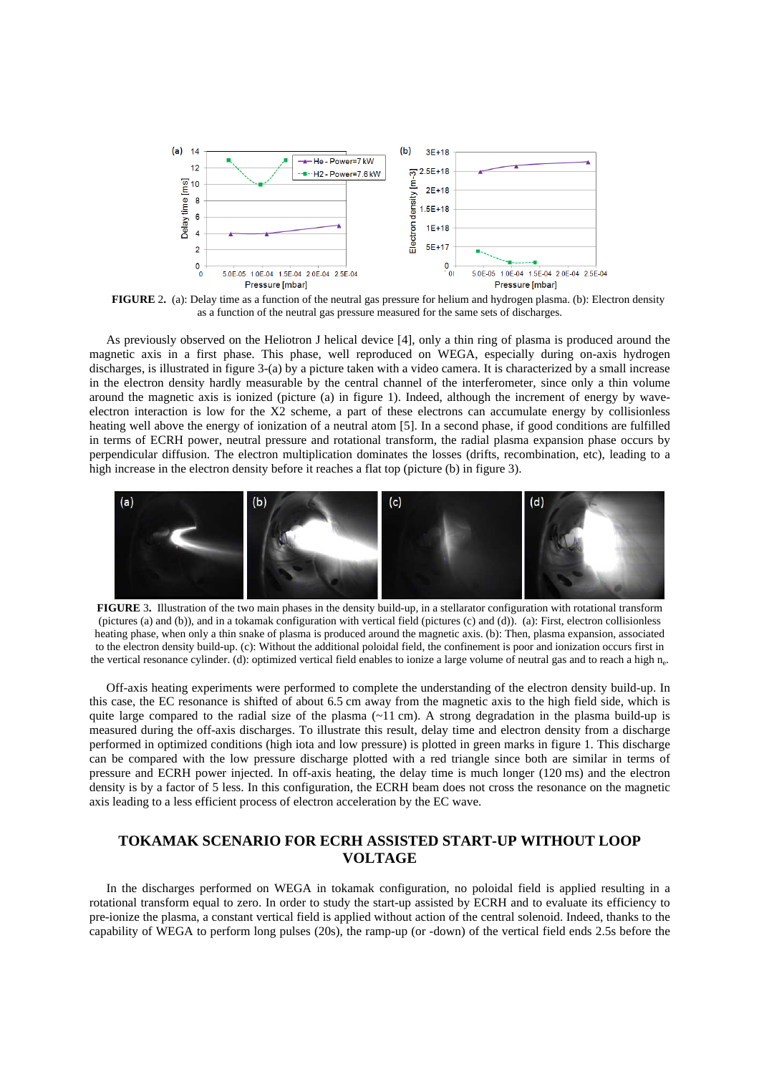

**FIGURE** 2**.** (a): Delay time as a function of the neutral gas pressure for helium and hydrogen plasma. (b): Electron density as a function of the neutral gas pressure measured for the same sets of discharges.

As previously observed on the Heliotron J helical device [4], only a thin ring of plasma is produced around the magnetic axis in a first phase. This phase, well reproduced on WEGA, especially during on-axis hydrogen discharges, is illustrated in figure 3-(a) by a picture taken with a video camera. It is characterized by a small increase in the electron density hardly measurable by the central channel of the interferometer, since only a thin volume around the magnetic axis is ionized (picture (a) in figure 1). Indeed, although the increment of energy by waveelectron interaction is low for the X2 scheme, a part of these electrons can accumulate energy by collisionless heating well above the energy of ionization of a neutral atom [5]. In a second phase, if good conditions are fulfilled in terms of ECRH power, neutral pressure and rotational transform, the radial plasma expansion phase occurs by perpendicular diffusion. The electron multiplication dominates the losses (drifts, recombination, etc), leading to a high increase in the electron density before it reaches a flat top (picture (b) in figure 3).



**FIGURE** 3**.** Illustration of the two main phases in the density build-up, in a stellarator configuration with rotational transform (pictures (a) and (b)), and in a tokamak configuration with vertical field (pictures (c) and (d)). (a): First, electron collisionless heating phase, when only a thin snake of plasma is produced around the magnetic axis. (b): Then, plasma expansion, associated to the electron density build-up. (c): Without the additional poloidal field, the confinement is poor and ionization occurs first in the vertical resonance cylinder. (d): optimized vertical field enables to ionize a large volume of neutral gas and to reach a high n<sup>e</sup> .

Off-axis heating experiments were performed to complete the understanding of the electron density build-up. In this case, the EC resonance is shifted of about 6.5 cm away from the magnetic axis to the high field side, which is quite large compared to the radial size of the plasma  $(-11 \text{ cm})$ . A strong degradation in the plasma build-up is measured during the off-axis discharges. To illustrate this result, delay time and electron density from a discharge performed in optimized conditions (high iota and low pressure) is plotted in green marks in figure 1. This discharge can be compared with the low pressure discharge plotted with a red triangle since both are similar in terms of pressure and ECRH power injected. In off-axis heating, the delay time is much longer (120 ms) and the electron density is by a factor of 5 less. In this configuration, the ECRH beam does not cross the resonance on the magnetic axis leading to a less efficient process of electron acceleration by the EC wave.

# **TOKAMAK SCENARIO FOR ECRH ASSISTED START-UP WITHOUT LOOP VOLTAGE**

In the discharges performed on WEGA in tokamak configuration, no poloidal field is applied resulting in a rotational transform equal to zero. In order to study the start-up assisted by ECRH and to evaluate its efficiency to pre-ionize the plasma, a constant vertical field is applied without action of the central solenoid. Indeed, thanks to the capability of WEGA to perform long pulses (20s), the ramp-up (or -down) of the vertical field ends 2.5s before the